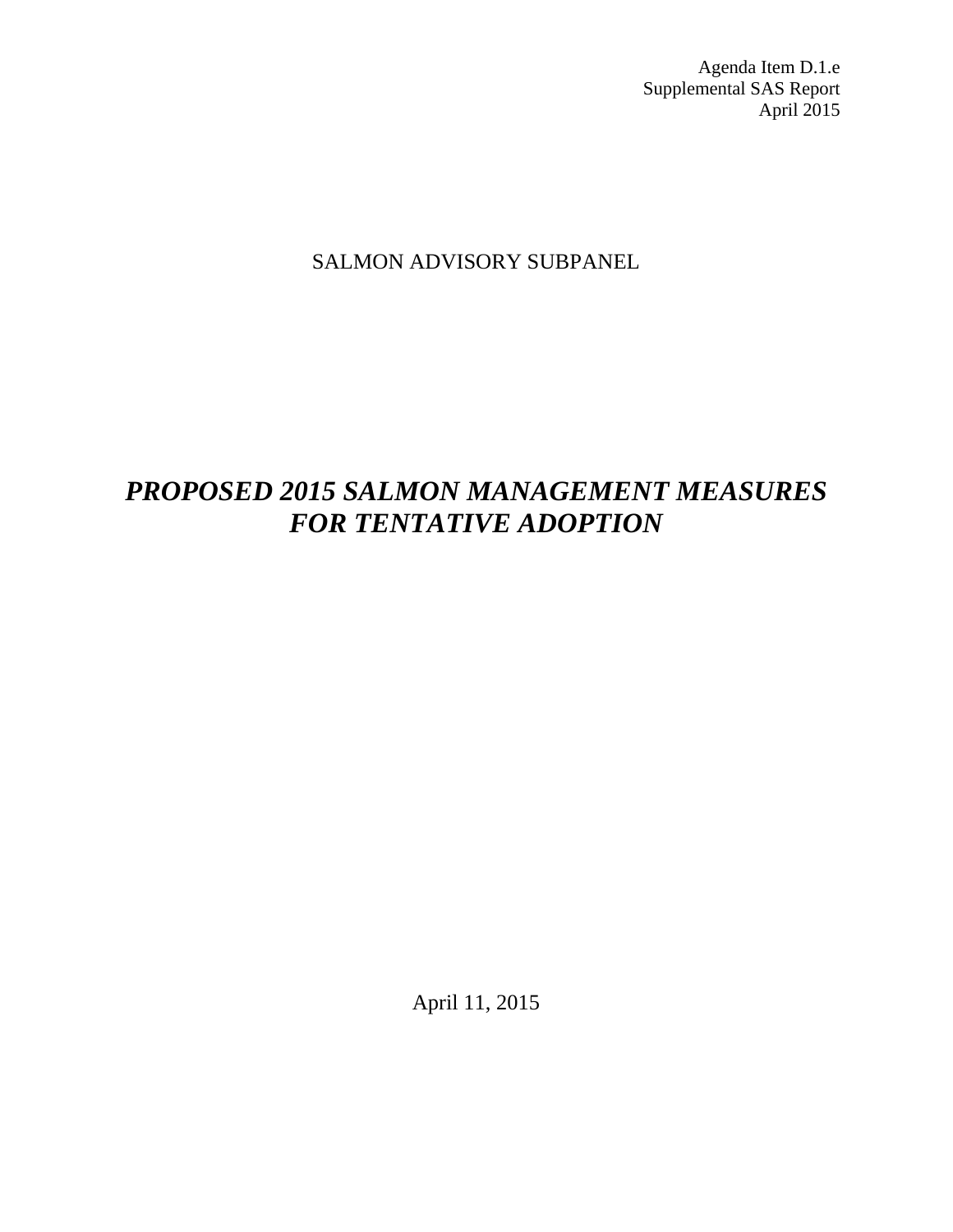Agenda Item D.1.e Supplemental SAS Report April 2015

# SALMON ADVISORY SUBPANEL

# *PROPOSED 2015 SALMON MANAGEMENT MEASURES FOR TENTATIVE ADOPTION*

April 11, 2015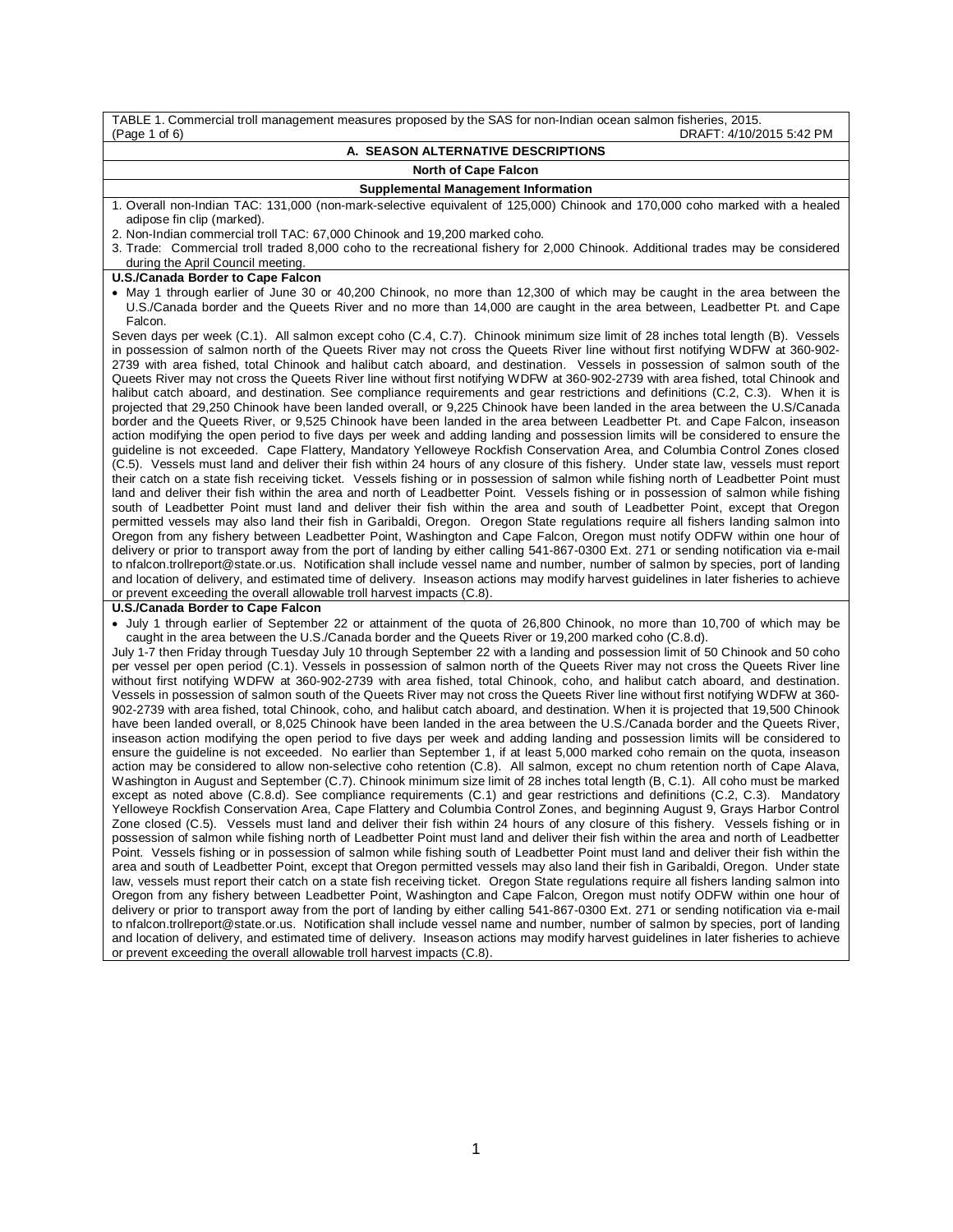| TABLE 1. Commercial troll management measures proposed by the SAS for non-Indian ocean salmon fisheries, 2015.<br>DRAFT: 4/10/2015 5:42 PM<br>(Page 1 of 6)                                                                                                                                                                                                                                                                                                                                                                                                                                                                                                                                                                                                                                                                                                                                                                                                                                                                                                                                                                                                                                                                                                                                                                                                                                                                                                                                                                                                                                                                                                                                                                                                                                                                                                                                                                                                                                                                                                                                                                                                                                                                                                                                                                                                                                                                                                                                                                                                                                                                                                                                                                                                                                                                                                                                                                                                                                                                                                                                                                                                                                                     |
|-----------------------------------------------------------------------------------------------------------------------------------------------------------------------------------------------------------------------------------------------------------------------------------------------------------------------------------------------------------------------------------------------------------------------------------------------------------------------------------------------------------------------------------------------------------------------------------------------------------------------------------------------------------------------------------------------------------------------------------------------------------------------------------------------------------------------------------------------------------------------------------------------------------------------------------------------------------------------------------------------------------------------------------------------------------------------------------------------------------------------------------------------------------------------------------------------------------------------------------------------------------------------------------------------------------------------------------------------------------------------------------------------------------------------------------------------------------------------------------------------------------------------------------------------------------------------------------------------------------------------------------------------------------------------------------------------------------------------------------------------------------------------------------------------------------------------------------------------------------------------------------------------------------------------------------------------------------------------------------------------------------------------------------------------------------------------------------------------------------------------------------------------------------------------------------------------------------------------------------------------------------------------------------------------------------------------------------------------------------------------------------------------------------------------------------------------------------------------------------------------------------------------------------------------------------------------------------------------------------------------------------------------------------------------------------------------------------------------------------------------------------------------------------------------------------------------------------------------------------------------------------------------------------------------------------------------------------------------------------------------------------------------------------------------------------------------------------------------------------------------------------------------------------------------------------------------------------------|
| A. SEASON ALTERNATIVE DESCRIPTIONS                                                                                                                                                                                                                                                                                                                                                                                                                                                                                                                                                                                                                                                                                                                                                                                                                                                                                                                                                                                                                                                                                                                                                                                                                                                                                                                                                                                                                                                                                                                                                                                                                                                                                                                                                                                                                                                                                                                                                                                                                                                                                                                                                                                                                                                                                                                                                                                                                                                                                                                                                                                                                                                                                                                                                                                                                                                                                                                                                                                                                                                                                                                                                                              |
| <b>North of Cape Falcon</b>                                                                                                                                                                                                                                                                                                                                                                                                                                                                                                                                                                                                                                                                                                                                                                                                                                                                                                                                                                                                                                                                                                                                                                                                                                                                                                                                                                                                                                                                                                                                                                                                                                                                                                                                                                                                                                                                                                                                                                                                                                                                                                                                                                                                                                                                                                                                                                                                                                                                                                                                                                                                                                                                                                                                                                                                                                                                                                                                                                                                                                                                                                                                                                                     |
| <b>Supplemental Management Information</b>                                                                                                                                                                                                                                                                                                                                                                                                                                                                                                                                                                                                                                                                                                                                                                                                                                                                                                                                                                                                                                                                                                                                                                                                                                                                                                                                                                                                                                                                                                                                                                                                                                                                                                                                                                                                                                                                                                                                                                                                                                                                                                                                                                                                                                                                                                                                                                                                                                                                                                                                                                                                                                                                                                                                                                                                                                                                                                                                                                                                                                                                                                                                                                      |
| 1. Overall non-Indian TAC: 131,000 (non-mark-selective equivalent of 125,000) Chinook and 170,000 coho marked with a healed                                                                                                                                                                                                                                                                                                                                                                                                                                                                                                                                                                                                                                                                                                                                                                                                                                                                                                                                                                                                                                                                                                                                                                                                                                                                                                                                                                                                                                                                                                                                                                                                                                                                                                                                                                                                                                                                                                                                                                                                                                                                                                                                                                                                                                                                                                                                                                                                                                                                                                                                                                                                                                                                                                                                                                                                                                                                                                                                                                                                                                                                                     |
| adipose fin clip (marked).                                                                                                                                                                                                                                                                                                                                                                                                                                                                                                                                                                                                                                                                                                                                                                                                                                                                                                                                                                                                                                                                                                                                                                                                                                                                                                                                                                                                                                                                                                                                                                                                                                                                                                                                                                                                                                                                                                                                                                                                                                                                                                                                                                                                                                                                                                                                                                                                                                                                                                                                                                                                                                                                                                                                                                                                                                                                                                                                                                                                                                                                                                                                                                                      |
| 2. Non-Indian commercial troll TAC: 67,000 Chinook and 19,200 marked coho.                                                                                                                                                                                                                                                                                                                                                                                                                                                                                                                                                                                                                                                                                                                                                                                                                                                                                                                                                                                                                                                                                                                                                                                                                                                                                                                                                                                                                                                                                                                                                                                                                                                                                                                                                                                                                                                                                                                                                                                                                                                                                                                                                                                                                                                                                                                                                                                                                                                                                                                                                                                                                                                                                                                                                                                                                                                                                                                                                                                                                                                                                                                                      |
| 3. Trade: Commercial troll traded 8,000 coho to the recreational fishery for 2,000 Chinook. Additional trades may be considered                                                                                                                                                                                                                                                                                                                                                                                                                                                                                                                                                                                                                                                                                                                                                                                                                                                                                                                                                                                                                                                                                                                                                                                                                                                                                                                                                                                                                                                                                                                                                                                                                                                                                                                                                                                                                                                                                                                                                                                                                                                                                                                                                                                                                                                                                                                                                                                                                                                                                                                                                                                                                                                                                                                                                                                                                                                                                                                                                                                                                                                                                 |
| during the April Council meeting.<br>U.S./Canada Border to Cape Falcon                                                                                                                                                                                                                                                                                                                                                                                                                                                                                                                                                                                                                                                                                                                                                                                                                                                                                                                                                                                                                                                                                                                                                                                                                                                                                                                                                                                                                                                                                                                                                                                                                                                                                                                                                                                                                                                                                                                                                                                                                                                                                                                                                                                                                                                                                                                                                                                                                                                                                                                                                                                                                                                                                                                                                                                                                                                                                                                                                                                                                                                                                                                                          |
| • May 1 through earlier of June 30 or 40,200 Chinook, no more than 12,300 of which may be caught in the area between the                                                                                                                                                                                                                                                                                                                                                                                                                                                                                                                                                                                                                                                                                                                                                                                                                                                                                                                                                                                                                                                                                                                                                                                                                                                                                                                                                                                                                                                                                                                                                                                                                                                                                                                                                                                                                                                                                                                                                                                                                                                                                                                                                                                                                                                                                                                                                                                                                                                                                                                                                                                                                                                                                                                                                                                                                                                                                                                                                                                                                                                                                        |
| U.S./Canada border and the Queets River and no more than 14,000 are caught in the area between, Leadbetter Pt. and Cape<br>Falcon.                                                                                                                                                                                                                                                                                                                                                                                                                                                                                                                                                                                                                                                                                                                                                                                                                                                                                                                                                                                                                                                                                                                                                                                                                                                                                                                                                                                                                                                                                                                                                                                                                                                                                                                                                                                                                                                                                                                                                                                                                                                                                                                                                                                                                                                                                                                                                                                                                                                                                                                                                                                                                                                                                                                                                                                                                                                                                                                                                                                                                                                                              |
| Seven days per week (C.1). All salmon except coho (C.4, C.7). Chinook minimum size limit of 28 inches total length (B). Vessels<br>in possession of salmon north of the Queets River may not cross the Queets River line without first notifying WDFW at 360-902-<br>2739 with area fished, total Chinook and halibut catch aboard, and destination. Vessels in possession of salmon south of the<br>Queets River may not cross the Queets River line without first notifying WDFW at 360-902-2739 with area fished, total Chinook and<br>halibut catch aboard, and destination. See compliance requirements and gear restrictions and definitions (C.2, C.3). When it is<br>projected that 29,250 Chinook have been landed overall, or 9,225 Chinook have been landed in the area between the U.S/Canada<br>border and the Queets River, or 9,525 Chinook have been landed in the area between Leadbetter Pt. and Cape Falcon, inseason<br>action modifying the open period to five days per week and adding landing and possession limits will be considered to ensure the<br>guideline is not exceeded. Cape Flattery, Mandatory Yelloweye Rockfish Conservation Area, and Columbia Control Zones closed<br>(C.5). Vessels must land and deliver their fish within 24 hours of any closure of this fishery. Under state law, vessels must report<br>their catch on a state fish receiving ticket. Vessels fishing or in possession of salmon while fishing north of Leadbetter Point must<br>land and deliver their fish within the area and north of Leadbetter Point. Vessels fishing or in possession of salmon while fishing<br>south of Leadbetter Point must land and deliver their fish within the area and south of Leadbetter Point, except that Oregon<br>permitted vessels may also land their fish in Garibaldi, Oregon. Oregon State regulations require all fishers landing salmon into<br>Oregon from any fishery between Leadbetter Point, Washington and Cape Falcon, Oregon must notify ODFW within one hour of<br>delivery or prior to transport away from the port of landing by either calling 541-867-0300 Ext. 271 or sending notification via e-mail<br>to nfalcon.trollreport@state.or.us. Notification shall include vessel name and number, number of salmon by species, port of landing<br>and location of delivery, and estimated time of delivery. Inseason actions may modify harvest guidelines in later fisheries to achieve                                                                                                                                                                                                                                                                                                                                                                                                                                                                                                                                                                                                                                                                                                                                                |
| or prevent exceeding the overall allowable troll harvest impacts (C.8).                                                                                                                                                                                                                                                                                                                                                                                                                                                                                                                                                                                                                                                                                                                                                                                                                                                                                                                                                                                                                                                                                                                                                                                                                                                                                                                                                                                                                                                                                                                                                                                                                                                                                                                                                                                                                                                                                                                                                                                                                                                                                                                                                                                                                                                                                                                                                                                                                                                                                                                                                                                                                                                                                                                                                                                                                                                                                                                                                                                                                                                                                                                                         |
| U.S./Canada Border to Cape Falcon                                                                                                                                                                                                                                                                                                                                                                                                                                                                                                                                                                                                                                                                                                                                                                                                                                                                                                                                                                                                                                                                                                                                                                                                                                                                                                                                                                                                                                                                                                                                                                                                                                                                                                                                                                                                                                                                                                                                                                                                                                                                                                                                                                                                                                                                                                                                                                                                                                                                                                                                                                                                                                                                                                                                                                                                                                                                                                                                                                                                                                                                                                                                                                               |
| • July 1 through earlier of September 22 or attainment of the quota of 26,800 Chinook, no more than 10,700 of which may be<br>caught in the area between the U.S./Canada border and the Queets River or 19,200 marked coho (C.8.d).<br>July 1-7 then Friday through Tuesday July 10 through September 22 with a landing and possession limit of 50 Chinook and 50 coho<br>per vessel per open period (C.1). Vessels in possession of salmon north of the Queets River may not cross the Queets River line<br>without first notifying WDFW at 360-902-2739 with area fished, total Chinook, coho, and halibut catch aboard, and destination.<br>Vessels in possession of salmon south of the Queets River may not cross the Queets River line without first notifying WDFW at 360-<br>902-2739 with area fished, total Chinook, coho, and halibut catch aboard, and destination. When it is projected that 19,500 Chinook<br>have been landed overall, or 8,025 Chinook have been landed in the area between the U.S./Canada border and the Queets River,<br>inseason action modifying the open period to five days per week and adding landing and possession limits will be considered to<br>ensure the guideline is not exceeded. No earlier than September 1, if at least 5,000 marked coho remain on the quota, inseason<br>action may be considered to allow non-selective coho retention (C.8). All salmon, except no chum retention north of Cape Alava,<br>Washington in August and September (C.7). Chinook minimum size limit of 28 inches total length (B, C.1). All coho must be marked<br>except as noted above (C.8.d). See compliance requirements (C.1) and gear restrictions and definitions (C.2, C.3). Mandatory<br>Yelloweye Rockfish Conservation Area, Cape Flattery and Columbia Control Zones, and beginning August 9, Grays Harbor Control<br>Zone closed (C.5). Vessels must land and deliver their fish within 24 hours of any closure of this fishery. Vessels fishing or in<br>possession of salmon while fishing north of Leadbetter Point must land and deliver their fish within the area and north of Leadbetter<br>Point. Vessels fishing or in possession of salmon while fishing south of Leadbetter Point must land and deliver their fish within the<br>area and south of Leadbetter Point, except that Oregon permitted vessels may also land their fish in Garibaldi, Oregon. Under state<br>law, vessels must report their catch on a state fish receiving ticket. Oregon State regulations require all fishers landing salmon into<br>Oregon from any fishery between Leadbetter Point, Washington and Cape Falcon, Oregon must notify ODFW within one hour of<br>delivery or prior to transport away from the port of landing by either calling 541-867-0300 Ext. 271 or sending notification via e-mail<br>to nfalcon.trollreport@state.or.us. Notification shall include vessel name and number, number of salmon by species, port of landing<br>and location of delivery, and estimated time of delivery. Inseason actions may modify harvest guidelines in later fisheries to achieve<br>or prevent exceeding the overall allowable troll harvest impacts (C.8). |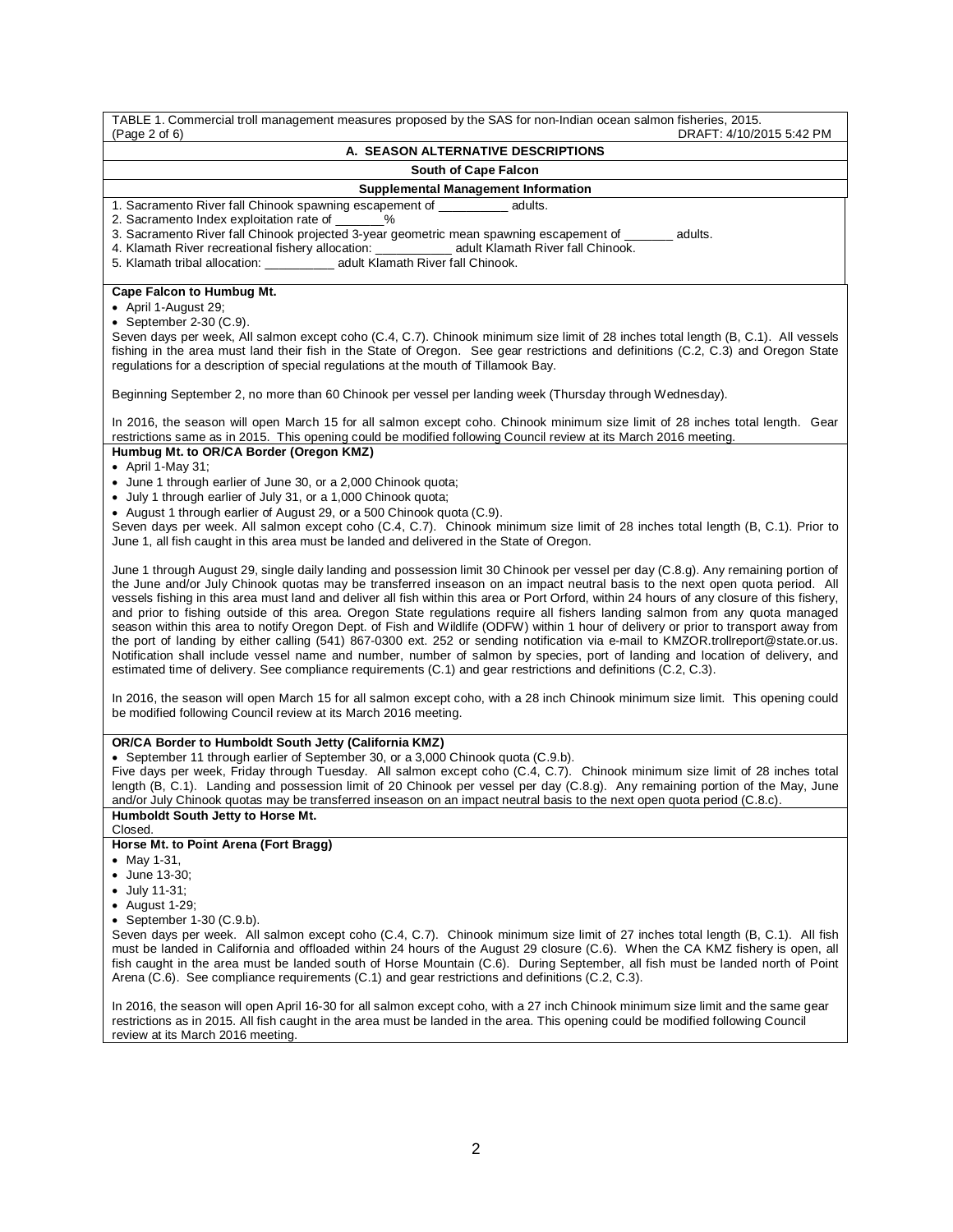| TABLE 1. Commercial troll management measures proposed by the SAS for non-Indian ocean salmon fisheries, 2015.<br>(Page 2 of 6)<br>DRAFT: 4/10/2015 5:42 PM                                                                                                                                                                                                                                                                                                                                                                                                                                                                                                                                                                                                                                                                                                                                                                                                                                                                                                                                                                                                                                                                                                                                                                                                                                                                                                                                                                                                                                                                                                                                                                                                                                                  |
|--------------------------------------------------------------------------------------------------------------------------------------------------------------------------------------------------------------------------------------------------------------------------------------------------------------------------------------------------------------------------------------------------------------------------------------------------------------------------------------------------------------------------------------------------------------------------------------------------------------------------------------------------------------------------------------------------------------------------------------------------------------------------------------------------------------------------------------------------------------------------------------------------------------------------------------------------------------------------------------------------------------------------------------------------------------------------------------------------------------------------------------------------------------------------------------------------------------------------------------------------------------------------------------------------------------------------------------------------------------------------------------------------------------------------------------------------------------------------------------------------------------------------------------------------------------------------------------------------------------------------------------------------------------------------------------------------------------------------------------------------------------------------------------------------------------|
| A. SEASON ALTERNATIVE DESCRIPTIONS                                                                                                                                                                                                                                                                                                                                                                                                                                                                                                                                                                                                                                                                                                                                                                                                                                                                                                                                                                                                                                                                                                                                                                                                                                                                                                                                                                                                                                                                                                                                                                                                                                                                                                                                                                           |
| <b>South of Cape Falcon</b>                                                                                                                                                                                                                                                                                                                                                                                                                                                                                                                                                                                                                                                                                                                                                                                                                                                                                                                                                                                                                                                                                                                                                                                                                                                                                                                                                                                                                                                                                                                                                                                                                                                                                                                                                                                  |
| <b>Supplemental Management Information</b>                                                                                                                                                                                                                                                                                                                                                                                                                                                                                                                                                                                                                                                                                                                                                                                                                                                                                                                                                                                                                                                                                                                                                                                                                                                                                                                                                                                                                                                                                                                                                                                                                                                                                                                                                                   |
| 1. Sacramento River fall Chinook spawning escapement of _________ adults.<br>2. Sacramento Index exploitation rate of _______%<br>3. Sacramento River fall Chinook projected 3-year geometric mean spawning escapement of _______ adults.<br>4. Klamath River recreational fishery allocation: ___________ adult Klamath River fall Chinook.<br>5. Klamath tribal allocation: _____________ adult Klamath River fall Chinook.                                                                                                                                                                                                                                                                                                                                                                                                                                                                                                                                                                                                                                                                                                                                                                                                                                                                                                                                                                                                                                                                                                                                                                                                                                                                                                                                                                                |
| Cape Falcon to Humbug Mt.<br>• April 1-August 29;<br>• September 2-30 $(C.9)$ .<br>Seven days per week, All salmon except coho (C.4, C.7). Chinook minimum size limit of 28 inches total length (B, C.1). All vessels<br>fishing in the area must land their fish in the State of Oregon. See gear restrictions and definitions (C.2, C.3) and Oregon State<br>regulations for a description of special regulations at the mouth of Tillamook Bay.                                                                                                                                                                                                                                                                                                                                                                                                                                                                                                                                                                                                                                                                                                                                                                                                                                                                                                                                                                                                                                                                                                                                                                                                                                                                                                                                                           |
| Beginning September 2, no more than 60 Chinook per vessel per landing week (Thursday through Wednesday).                                                                                                                                                                                                                                                                                                                                                                                                                                                                                                                                                                                                                                                                                                                                                                                                                                                                                                                                                                                                                                                                                                                                                                                                                                                                                                                                                                                                                                                                                                                                                                                                                                                                                                     |
| In 2016, the season will open March 15 for all salmon except coho. Chinook minimum size limit of 28 inches total length. Gear<br>restrictions same as in 2015. This opening could be modified following Council review at its March 2016 meeting.                                                                                                                                                                                                                                                                                                                                                                                                                                                                                                                                                                                                                                                                                                                                                                                                                                                                                                                                                                                                                                                                                                                                                                                                                                                                                                                                                                                                                                                                                                                                                            |
| Humbug Mt. to OR/CA Border (Oregon KMZ)<br>• April 1-May 31;<br>• June 1 through earlier of June 30, or a 2,000 Chinook quota;<br>• July 1 through earlier of July 31, or a 1,000 Chinook quota;<br>• August 1 through earlier of August 29, or a 500 Chinook quota (C.9).<br>Seven days per week. All salmon except coho (C.4, C.7). Chinook minimum size limit of 28 inches total length (B, C.1). Prior to<br>June 1, all fish caught in this area must be landed and delivered in the State of Oregon.<br>June 1 through August 29, single daily landing and possession limit 30 Chinook per vessel per day (C.8.g). Any remaining portion of<br>the June and/or July Chinook quotas may be transferred inseason on an impact neutral basis to the next open quota period. All<br>vessels fishing in this area must land and deliver all fish within this area or Port Orford, within 24 hours of any closure of this fishery,<br>and prior to fishing outside of this area. Oregon State regulations require all fishers landing salmon from any quota managed<br>season within this area to notify Oregon Dept. of Fish and Wildlife (ODFW) within 1 hour of delivery or prior to transport away from<br>the port of landing by either calling (541) 867-0300 ext. 252 or sending notification via e-mail to KMZOR.trollreport@state.or.us.<br>Notification shall include vessel name and number, number of salmon by species, port of landing and location of delivery, and<br>estimated time of delivery. See compliance requirements (C.1) and gear restrictions and definitions (C.2, C.3).<br>In 2016, the season will open March 15 for all salmon except coho, with a 28 inch Chinook minimum size limit. This opening could<br>be modified following Council review at its March 2016 meeting. |
| OR/CA Border to Humboldt South Jetty (California KMZ)<br>• September 11 through earlier of September 30, or a 3,000 Chinook quota (C.9.b).<br>Five days per week, Friday through Tuesday. All salmon except coho (C.4, C.7). Chinook minimum size limit of 28 inches total<br>length (B, C.1). Landing and possession limit of 20 Chinook per vessel per day (C.8.g). Any remaining portion of the May, June<br>and/or July Chinook quotas may be transferred inseason on an impact neutral basis to the next open quota period (C.8.c).<br>Humboldt South Jetty to Horse Mt.                                                                                                                                                                                                                                                                                                                                                                                                                                                                                                                                                                                                                                                                                                                                                                                                                                                                                                                                                                                                                                                                                                                                                                                                                                |
| Closed.                                                                                                                                                                                                                                                                                                                                                                                                                                                                                                                                                                                                                                                                                                                                                                                                                                                                                                                                                                                                                                                                                                                                                                                                                                                                                                                                                                                                                                                                                                                                                                                                                                                                                                                                                                                                      |
| Horse Mt. to Point Arena (Fort Bragg)<br>• May 1-31,<br>• June 13-30;<br>• July 11-31;<br>$\bullet$ August 1-29;<br>• September $1-30$ (C.9.b).<br>Seven days per week. All salmon except coho (C.4, C.7). Chinook minimum size limit of 27 inches total length (B, C.1). All fish<br>must be landed in California and offloaded within 24 hours of the August 29 closure (C.6). When the CA KMZ fishery is open, all<br>fish caught in the area must be landed south of Horse Mountain (C.6). During September, all fish must be landed north of Point<br>Arena (C.6). See compliance requirements (C.1) and gear restrictions and definitions (C.2, C.3).                                                                                                                                                                                                                                                                                                                                                                                                                                                                                                                                                                                                                                                                                                                                                                                                                                                                                                                                                                                                                                                                                                                                                  |
| In 2016, the season will open April 16-30 for all salmon except coho, with a 27 inch Chinook minimum size limit and the same gear                                                                                                                                                                                                                                                                                                                                                                                                                                                                                                                                                                                                                                                                                                                                                                                                                                                                                                                                                                                                                                                                                                                                                                                                                                                                                                                                                                                                                                                                                                                                                                                                                                                                            |

In 2016, the season will open April 16-30 for all salmon except coho, with a 27 inch Chinook minimum size limit and the same gear restrictions as in 2015. All fish caught in the area must be landed in the area. This opening could be modified following Council review at its March 2016 meeting.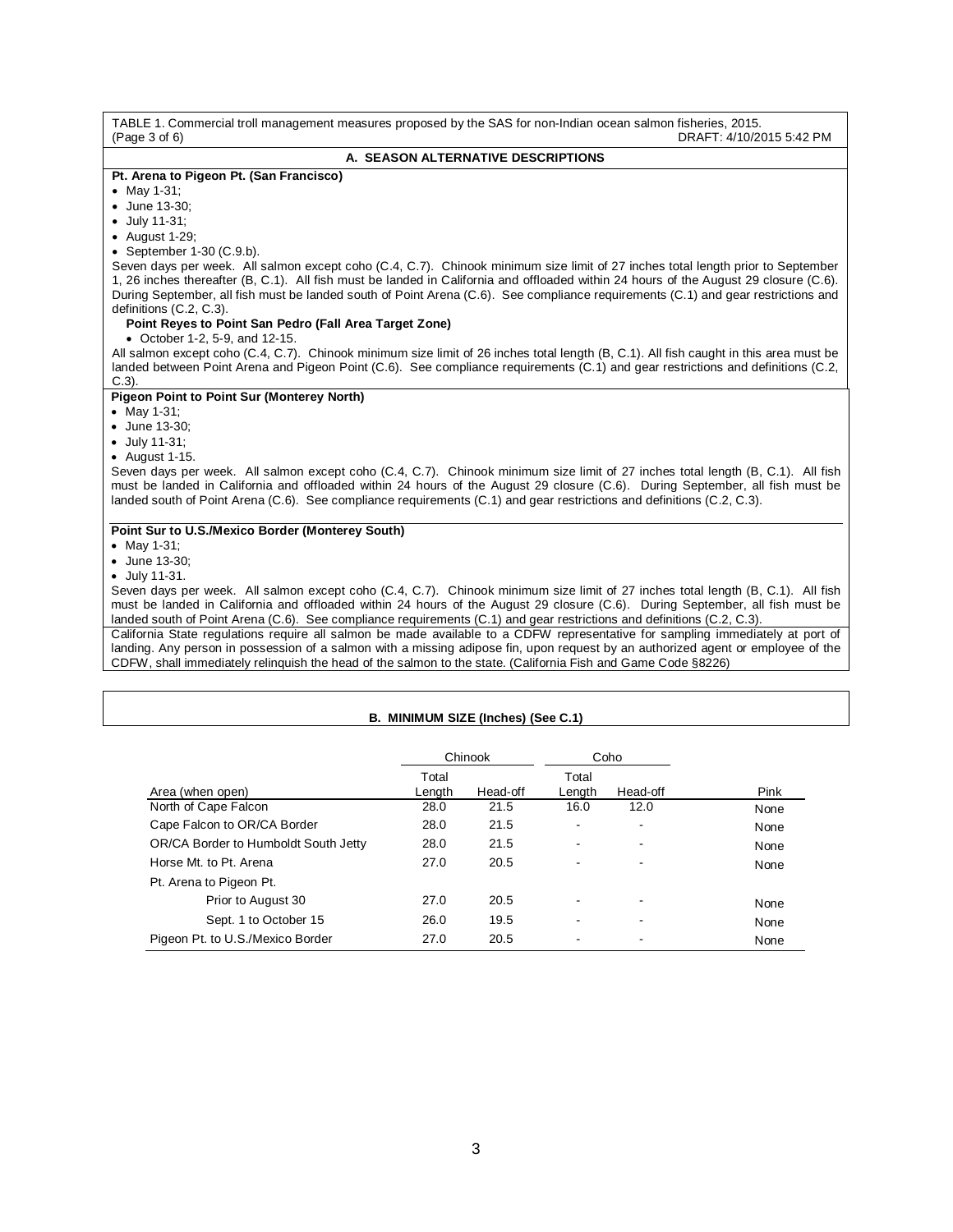| TABLE 1. Commercial troll management measures proposed by the SAS for non-Indian ocean salmon fisheries, 2015.<br>(Paqe 3 of 6)<br>DRAFT: 4/10/2015 5:42 PM |
|-------------------------------------------------------------------------------------------------------------------------------------------------------------|
| A. SEASON ALTERNATIVE DESCRIPTIONS                                                                                                                          |
| Pt. Arena to Pigeon Pt. (San Francisco)                                                                                                                     |
| • May 1-31;                                                                                                                                                 |
| • June 13-30:                                                                                                                                               |
| $\bullet$ July 11-31;                                                                                                                                       |
| • August 1-29;                                                                                                                                              |
| • September $1-30$ (C.9.b).                                                                                                                                 |
| Seven days per week. All salmon except coho (C.4, C.7). Chinook minimum size limit of 27 inches total length prior to September                             |
| 1, 26 inches thereafter (B, C.1). All fish must be landed in California and offloaded within 24 hours of the August 29 closure (C.6).                       |
| During September, all fish must be landed south of Point Arena (C.6). See compliance requirements (C.1) and gear restrictions and                           |
| definitions $(C.2, C.3)$ .                                                                                                                                  |
| Point Reyes to Point San Pedro (Fall Area Target Zone)                                                                                                      |
| • October 1-2, 5-9, and 12-15.                                                                                                                              |
| All salmon except coho (C.4, C.7). Chinook minimum size limit of 26 inches total length (B, C.1). All fish caught in this area must be                      |
| landed between Point Arena and Pigeon Point (C.6). See compliance requirements (C.1) and gear restrictions and definitions (C.2,                            |
| $C.3$ ).                                                                                                                                                    |
| <b>Pigeon Point to Point Sur (Monterey North)</b>                                                                                                           |
| • May 1-31;                                                                                                                                                 |
| • June 13-30;                                                                                                                                               |
| • July 11-31;                                                                                                                                               |
| $\bullet$ August 1-15.<br>Seven days per week. All salmon except coho (C.4, C.7). Chinook minimum size limit of 27 inches total length (B, C.1). All fish   |
| must be landed in California and offloaded within 24 hours of the August 29 closure (C.6). During September, all fish must be                               |
| landed south of Point Arena (C.6). See compliance requirements (C.1) and gear restrictions and definitions (C.2, C.3).                                      |
|                                                                                                                                                             |
| Point Sur to U.S./Mexico Border (Monterey South)                                                                                                            |
| • May 1-31;                                                                                                                                                 |
| • June 13-30;                                                                                                                                               |
| • July 11-31.                                                                                                                                               |
| Seven days per week. All salmon except coho (C.4, C.7). Chinook minimum size limit of 27 inches total length (B, C.1). All fish                             |
| must be landed in California and offloaded within 24 hours of the August 29 closure (C.6). During September, all fish must be                               |
| landed south of Point Arena (C.6). See compliance requirements (C.1) and gear restrictions and definitions (C.2, C.3).                                      |
| California State regulations require all salmon be made available to a CDFW representative for sampling immediately at port of                              |
| landing. Any person in possession of a salmon with a missing adipose fin, upon request by an authorized agent or employee of the                            |
| CDFW, shall immediately relinguish the head of the salmon to the state. (California Fish and Game Code §8226)                                               |

# **B. MINIMUM SIZE (Inches) (See C.1)**

|                                      | Chinook         |          | Coho            |          |      |
|--------------------------------------|-----------------|----------|-----------------|----------|------|
| Area (when open)                     | Total<br>Length | Head-off | Total<br>Length | Head-off | Pink |
| North of Cape Falcon                 | 28.0            | 21.5     | 16.0            | 12.0     | None |
| Cape Falcon to OR/CA Border          | 28.0            | 21.5     |                 |          | None |
| OR/CA Border to Humboldt South Jetty | 28.0            | 21.5     |                 | ۰        | None |
| Horse Mt. to Pt. Arena               | 27.0            | 20.5     | -               | ۰        | None |
| Pt. Arena to Pigeon Pt.              |                 |          |                 |          |      |
| Prior to August 30                   | 27.0            | 20.5     |                 |          | None |
| Sept. 1 to October 15                | 26.0            | 19.5     |                 |          | None |
| Pigeon Pt. to U.S./Mexico Border     | 27.0            | 20.5     |                 |          | None |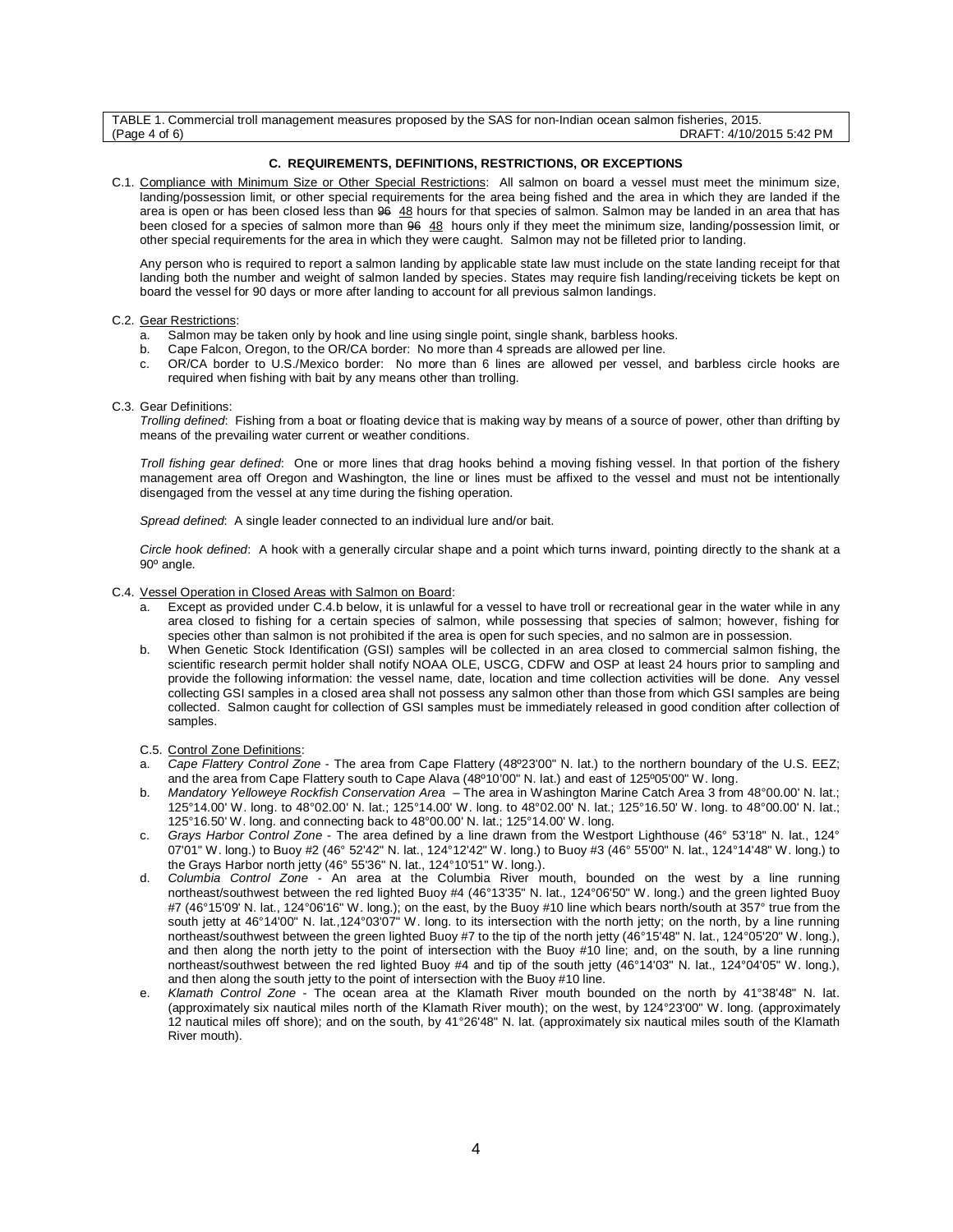TABLE 1. Commercial troll management measures proposed by the SAS for non-Indian ocean salmon fisheries, 2015. DRAFT: 4/10/2015 5:42 PM

### **C. REQUIREMENTS, DEFINITIONS, RESTRICTIONS, OR EXCEPTIONS**

C.1. Compliance with Minimum Size or Other Special Restrictions: All salmon on board a vessel must meet the minimum size, landing/possession limit, or other special requirements for the area being fished and the area in which they are landed if the area is open or has been closed less than 96 48 hours for that species of salmon. Salmon may be landed in an area that has been closed for a species of salmon more than  $96$  48 hours only if they meet the minimum size, landing/possession limit, or other special requirements for the area in which they were caught. Salmon may not be filleted prior to landing.

Any person who is required to report a salmon landing by applicable state law must include on the state landing receipt for that landing both the number and weight of salmon landed by species. States may require fish landing/receiving tickets be kept on board the vessel for 90 days or more after landing to account for all previous salmon landings.

#### C.2. Gear Restrictions:

- a. Salmon may be taken only by hook and line using single point, single shank, barbless hooks.<br>b. Cape Ealcon, Oregon, to the OR/CA border: No more than 4 spreads are allowed per line
- Cape Falcon, Oregon, to the OR/CA border: No more than 4 spreads are allowed per line.
- c. OR/CA border to U.S./Mexico border: No more than 6 lines are allowed per vessel, and barbless circle hooks are required when fishing with bait by any means other than trolling.

#### C.3. Gear Definitions:

*Trolling defined*: Fishing from a boat or floating device that is making way by means of a source of power, other than drifting by means of the prevailing water current or weather conditions.

*Troll fishing gear defined*: One or more lines that drag hooks behind a moving fishing vessel. In that portion of the fishery management area off Oregon and Washington, the line or lines must be affixed to the vessel and must not be intentionally disengaged from the vessel at any time during the fishing operation.

*Spread defined*: A single leader connected to an individual lure and/or bait.

*Circle hook defined*: A hook with a generally circular shape and a point which turns inward, pointing directly to the shank at a 90º angle.

#### C.4. Vessel Operation in Closed Areas with Salmon on Board:

- a. Except as provided under C.4.b below, it is unlawful for a vessel to have troll or recreational gear in the water while in any area closed to fishing for a certain species of salmon, while possessing that species of salmon; however, fishing for species other than salmon is not prohibited if the area is open for such species, and no salmon are in possession.
- b. When Genetic Stock Identification (GSI) samples will be collected in an area closed to commercial salmon fishing, the scientific research permit holder shall notify NOAA OLE, USCG, CDFW and OSP at least 24 hours prior to sampling and provide the following information: the vessel name, date, location and time collection activities will be done. Any vessel collecting GSI samples in a closed area shall not possess any salmon other than those from which GSI samples are being collected. Salmon caught for collection of GSI samples must be immediately released in good condition after collection of samples.
- C.5. Control Zone Definitions:
- a. *Cape Flattery Control Zone*  The area from Cape Flattery (48º23'00" N. lat.) to the northern boundary of the U.S. EEZ; and the area from Cape Flattery south to Cape Alava (48º10'00" N. lat.) and east of 125º05'00" W. long.
- b. *Mandatory Yelloweye Rockfish Conservation Area* The area in Washington Marine Catch Area 3 from 48°00.00' N. lat.; 125°14.00' W. long. to 48°02.00' N. lat.; 125°14.00' W. long. to 48°02.00' N. lat.; 125°16.50' W. long. to 48°00.00' N. lat.; 125°16.50' W. long. and connecting back to 48°00.00' N. lat.; 125°14.00' W. long.
- c. *Grays Harbor Control Zone* The area defined by a line drawn from the Westport Lighthouse (46° 53'18" N. lat., 124° 07'01" W. long.) to Buoy #2 (46° 52'42" N. lat., 124°12'42" W. long.) to Buoy #3 (46° 55'00" N. lat., 124°14'48" W. long.) to the Grays Harbor north jetty (46° 55'36" N. lat., 124°10'51" W. long.).
- d. *Columbia Control Zone* An area at the Columbia River mouth, bounded on the west by a line running northeast/southwest between the red lighted Buoy #4 (46°13'35" N. lat., 124°06'50" W. long.) and the green lighted Buoy #7 (46°15'09' N. lat., 124°06'16" W. long.); on the east, by the Buoy #10 line which bears north/south at 357° true from the south jetty at 46°14'00" N. lat.,124°03'07" W. long. to its intersection with the north jetty; on the north, by a line running northeast/southwest between the green lighted Buoy #7 to the tip of the north jetty (46°15'48" N. lat., 124°05'20" W. long.), and then along the north jetty to the point of intersection with the Buoy #10 line; and, on the south, by a line running northeast/southwest between the red lighted Buoy #4 and tip of the south jetty (46°14'03" N. lat., 124°04'05" W. long.), and then along the south jetty to the point of intersection with the Buoy #10 line.
- e. *Klamath Control Zone* The ocean area at the Klamath River mouth bounded on the north by 41°38'48" N. lat. (approximately six nautical miles north of the Klamath River mouth); on the west, by 124°23'00" W. long. (approximately 12 nautical miles off shore); and on the south, by 41°26'48" N. lat. (approximately six nautical miles south of the Klamath River mouth).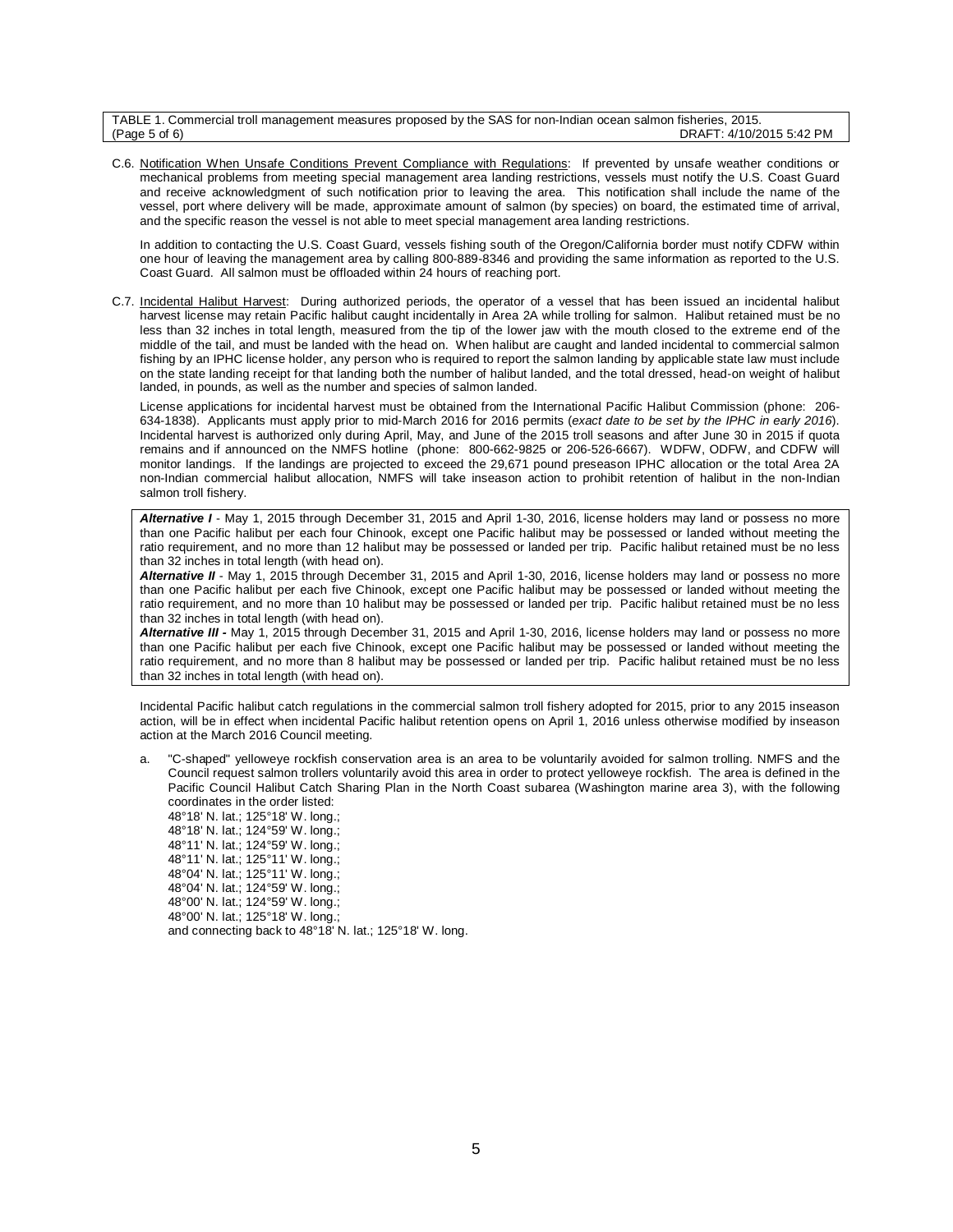| TABLE 1. Commercial troll management measures proposed by the SAS for non-Indian ocean salmon fisheries, 2015. |                          |
|----------------------------------------------------------------------------------------------------------------|--------------------------|
| (Page 5 of 6)                                                                                                  | DRAFT: 4/10/2015 5:42 PM |

C.6. Notification When Unsafe Conditions Prevent Compliance with Regulations: If prevented by unsafe weather conditions or mechanical problems from meeting special management area landing restrictions, vessels must notify the U.S. Coast Guard and receive acknowledgment of such notification prior to leaving the area. This notification shall include the name of the vessel, port where delivery will be made, approximate amount of salmon (by species) on board, the estimated time of arrival, and the specific reason the vessel is not able to meet special management area landing restrictions.

In addition to contacting the U.S. Coast Guard, vessels fishing south of the Oregon/California border must notify CDFW within one hour of leaving the management area by calling 800-889-8346 and providing the same information as reported to the U.S. Coast Guard. All salmon must be offloaded within 24 hours of reaching port.

C.7. Incidental Halibut Harvest: During authorized periods, the operator of a vessel that has been issued an incidental halibut harvest license may retain Pacific halibut caught incidentally in Area 2A while trolling for salmon. Halibut retained must be no less than 32 inches in total length, measured from the tip of the lower jaw with the mouth closed to the extreme end of the middle of the tail, and must be landed with the head on. When halibut are caught and landed incidental to commercial salmon fishing by an IPHC license holder, any person who is required to report the salmon landing by applicable state law must include on the state landing receipt for that landing both the number of halibut landed, and the total dressed, head-on weight of halibut landed, in pounds, as well as the number and species of salmon landed.

License applications for incidental harvest must be obtained from the International Pacific Halibut Commission (phone: 206- 634-1838). Applicants must apply prior to mid-March 2016 for 2016 permits (*exact date to be set by the IPHC in early 2016*). Incidental harvest is authorized only during April, May, and June of the 2015 troll seasons and after June 30 in 2015 if quota remains and if announced on the NMFS hotline (phone: 800-662-9825 or 206-526-6667). WDFW, ODFW, and CDFW will monitor landings. If the landings are projected to exceed the 29,671 pound preseason IPHC allocation or the total Area 2A non-Indian commercial halibut allocation, NMFS will take inseason action to prohibit retention of halibut in the non-Indian salmon troll fishery.

*Alternative I* - May 1, 2015 through December 31, 2015 and April 1-30, 2016, license holders may land or possess no more than one Pacific halibut per each four Chinook, except one Pacific halibut may be possessed or landed without meeting the ratio requirement, and no more than 12 halibut may be possessed or landed per trip. Pacific halibut retained must be no less than 32 inches in total length (with head on).

*Alternative II* - May 1, 2015 through December 31, 2015 and April 1-30, 2016, license holders may land or possess no more than one Pacific halibut per each five Chinook, except one Pacific halibut may be possessed or landed without meeting the ratio requirement, and no more than 10 halibut may be possessed or landed per trip. Pacific halibut retained must be no less than 32 inches in total length (with head on).

*Alternative III -* May 1, 2015 through December 31, 2015 and April 1-30, 2016, license holders may land or possess no more than one Pacific halibut per each five Chinook, except one Pacific halibut may be possessed or landed without meeting the ratio requirement, and no more than 8 halibut may be possessed or landed per trip. Pacific halibut retained must be no less than 32 inches in total length (with head on).

Incidental Pacific halibut catch regulations in the commercial salmon troll fishery adopted for 2015, prior to any 2015 inseason action, will be in effect when incidental Pacific halibut retention opens on April 1, 2016 unless otherwise modified by inseason action at the March 2016 Council meeting.

"C-shaped" yelloweye rockfish conservation area is an area to be voluntarily avoided for salmon trolling. NMFS and the Council request salmon trollers voluntarily avoid this area in order to protect yelloweye rockfish. The area is defined in the Pacific Council Halibut Catch Sharing Plan in the North Coast subarea (Washington marine area 3), with the following coordinates in the order listed:

48°18' N. lat.; 125°18' W. long.; 48°18' N. lat.; 124°59' W. long.; 48°11' N. lat.; 124°59' W. long.; 48°11' N. lat.; 125°11' W. long.; 48°04' N. lat.; 125°11' W. long.; 48°04' N. lat.; 124°59' W. long.; 48°00' N. lat.; 124°59' W. long.; 48°00' N. lat.; 125°18' W. long.;

and connecting back to 48°18' N. lat.; 125°18' W. long.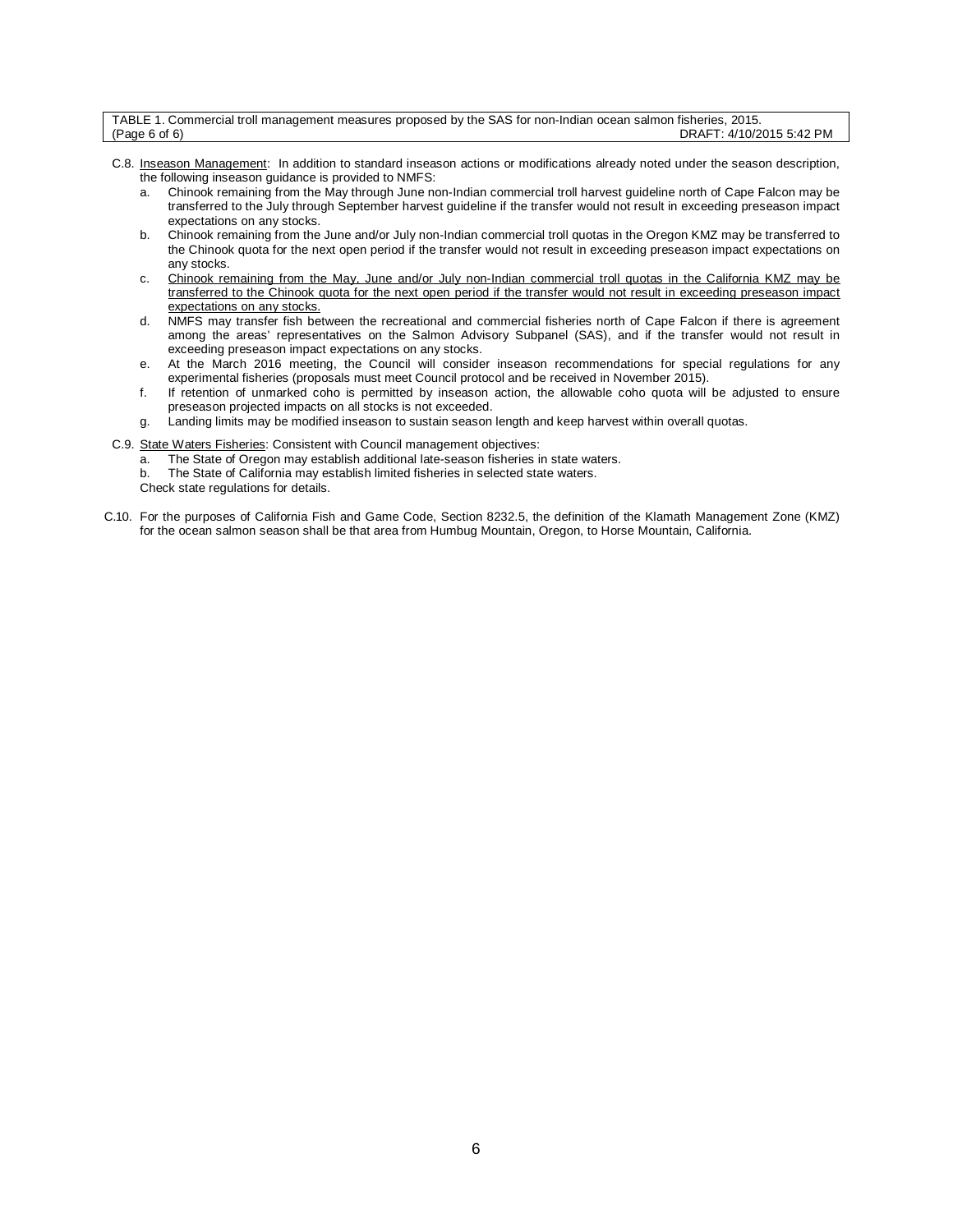| TABLE 1. Commercial troll management measures proposed by the SAS for non-Indian ocean salmon fisheries, 2015. |                          |
|----------------------------------------------------------------------------------------------------------------|--------------------------|
| (Page 6 of 6)                                                                                                  | DRAFT: 4/10/2015 5:42 PM |

- C.8. Inseason Management: In addition to standard inseason actions or modifications already noted under the season description, the following inseason guidance is provided to NMFS:
	- a. Chinook remaining from the May through June non-Indian commercial troll harvest guideline north of Cape Falcon may be transferred to the July through September harvest guideline if the transfer would not result in exceeding preseason impact expectations on any stocks.
	- b. Chinook remaining from the June and/or July non-Indian commercial troll quotas in the Oregon KMZ may be transferred to the Chinook quota for the next open period if the transfer would not result in exceeding preseason impact expectations on any stocks.
	- c. Chinook remaining from the May, June and/or July non-Indian commercial troll quotas in the California KMZ may be transferred to the Chinook quota for the next open period if the transfer would not result in exceeding preseason impact expectations on any stocks.
	- d. NMFS may transfer fish between the recreational and commercial fisheries north of Cape Falcon if there is agreement among the areas' representatives on the Salmon Advisory Subpanel (SAS), and if the transfer would not result in exceeding preseason impact expectations on any stocks.
	- e. At the March 2016 meeting, the Council will consider inseason recommendations for special regulations for any experimental fisheries (proposals must meet Council protocol and be received in November 2015).
	- f. If retention of unmarked coho is permitted by inseason action, the allowable coho quota will be adjusted to ensure preseason projected impacts on all stocks is not exceeded.
	- g. Landing limits may be modified inseason to sustain season length and keep harvest within overall quotas.
- C.9. State Waters Fisheries: Consistent with Council management objectives:
	- a. The State of Oregon may establish additional late-season fisheries in state waters.
	- b. The State of California may establish limited fisheries in selected state waters.
	- Check state regulations for details.
- C.10. For the purposes of California Fish and Game Code, Section 8232.5, the definition of the Klamath Management Zone (KMZ) for the ocean salmon season shall be that area from Humbug Mountain, Oregon, to Horse Mountain, California.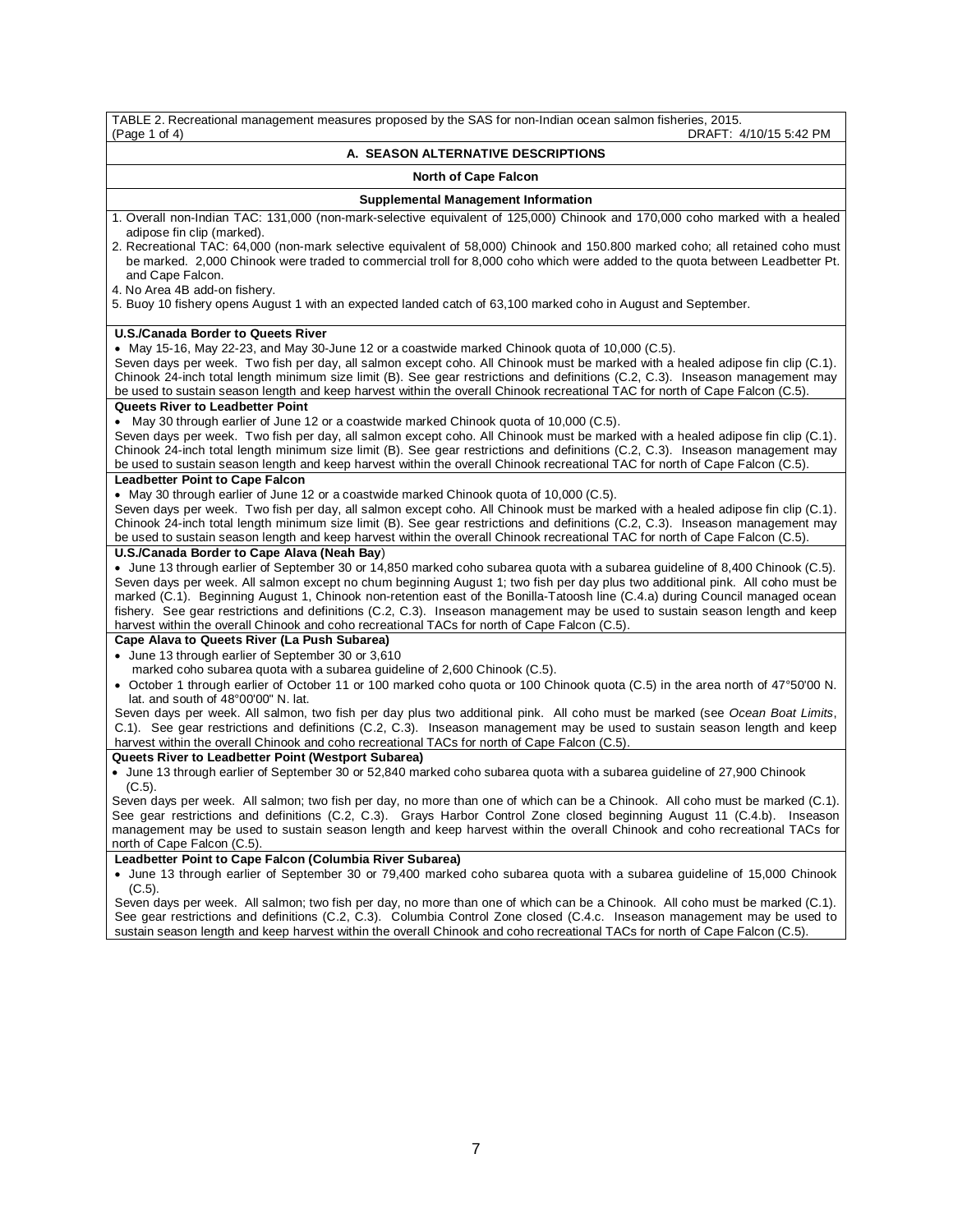| TABLE 2. Recreational management measures proposed by the SAS for non-Indian ocean salmon fisheries, 2015.<br>(Page 1 of 4)<br>DRAFT: 4/10/15 5:42 PM                                                                                                                                                                                                                                                                                                                                                                                                                                                                                                                             |
|-----------------------------------------------------------------------------------------------------------------------------------------------------------------------------------------------------------------------------------------------------------------------------------------------------------------------------------------------------------------------------------------------------------------------------------------------------------------------------------------------------------------------------------------------------------------------------------------------------------------------------------------------------------------------------------|
| A. SEASON ALTERNATIVE DESCRIPTIONS                                                                                                                                                                                                                                                                                                                                                                                                                                                                                                                                                                                                                                                |
| <b>North of Cape Falcon</b>                                                                                                                                                                                                                                                                                                                                                                                                                                                                                                                                                                                                                                                       |
| <b>Supplemental Management Information</b>                                                                                                                                                                                                                                                                                                                                                                                                                                                                                                                                                                                                                                        |
| 1. Overall non-Indian TAC: 131,000 (non-mark-selective equivalent of 125,000) Chinook and 170,000 coho marked with a healed<br>adipose fin clip (marked).<br>2. Recreational TAC: 64,000 (non-mark selective equivalent of 58,000) Chinook and 150.800 marked coho; all retained coho must<br>be marked. 2,000 Chinook were traded to commercial troll for 8,000 coho which were added to the quota between Leadbetter Pt.<br>and Cape Falcon.<br>4. No Area 4B add-on fishery.<br>5. Buoy 10 fishery opens August 1 with an expected landed catch of 63,100 marked coho in August and September.                                                                                 |
| <b>U.S./Canada Border to Queets River</b>                                                                                                                                                                                                                                                                                                                                                                                                                                                                                                                                                                                                                                         |
| • May 15-16, May 22-23, and May 30-June 12 or a coastwide marked Chinook quota of 10,000 (C.5).<br>Seven days per week. Two fish per day, all salmon except coho. All Chinook must be marked with a healed adipose fin clip (C.1).<br>Chinook 24-inch total length minimum size limit (B). See gear restrictions and definitions (C.2, C.3). Inseason management may<br>be used to sustain season length and keep harvest within the overall Chinook recreational TAC for north of Cape Falcon (C.5).                                                                                                                                                                             |
| <b>Queets River to Leadbetter Point</b>                                                                                                                                                                                                                                                                                                                                                                                                                                                                                                                                                                                                                                           |
| • May 30 through earlier of June 12 or a coastwide marked Chinook quota of 10,000 (C.5).<br>Seven days per week. Two fish per day, all salmon except coho. All Chinook must be marked with a healed adipose fin clip (C.1).<br>Chinook 24-inch total length minimum size limit (B). See gear restrictions and definitions (C.2, C.3). Inseason management may<br>be used to sustain season length and keep harvest within the overall Chinook recreational TAC for north of Cape Falcon (C.5).                                                                                                                                                                                    |
| <b>Leadbetter Point to Cape Falcon</b>                                                                                                                                                                                                                                                                                                                                                                                                                                                                                                                                                                                                                                            |
| • May 30 through earlier of June 12 or a coastwide marked Chinook quota of 10,000 (C.5).<br>Seven days per week. Two fish per day, all salmon except coho. All Chinook must be marked with a healed adipose fin clip (C.1).<br>Chinook 24-inch total length minimum size limit (B). See gear restrictions and definitions (C.2, C.3). Inseason management may<br>be used to sustain season length and keep harvest within the overall Chinook recreational TAC for north of Cape Falcon (C.5).                                                                                                                                                                                    |
| U.S./Canada Border to Cape Alava (Neah Bay)<br>• June 13 through earlier of September 30 or 14,850 marked coho subarea quota with a subarea guideline of 8,400 Chinook (C.5).<br>Seven days per week. All salmon except no chum beginning August 1; two fish per day plus two additional pink. All coho must be<br>marked (C.1). Beginning August 1, Chinook non-retention east of the Bonilla-Tatoosh line (C.4.a) during Council managed ocean<br>fishery. See gear restrictions and definitions (C.2, C.3). Inseason management may be used to sustain season length and keep<br>harvest within the overall Chinook and coho recreational TACs for north of Cape Falcon (C.5). |
| Cape Alava to Queets River (La Push Subarea)                                                                                                                                                                                                                                                                                                                                                                                                                                                                                                                                                                                                                                      |
| • June 13 through earlier of September 30 or 3,610<br>marked coho subarea quota with a subarea guideline of 2,600 Chinook (C.5).<br>• October 1 through earlier of October 11 or 100 marked coho quota or 100 Chinook quota (C.5) in the area north of 47°50'00 N.<br>lat. and south of 48°00'00" N. lat.<br>Seven days per week. All salmon, two fish per day plus two additional pink. All coho must be marked (see Ocean Boat Limits,<br>C.1). See gear restrictions and definitions (C.2, C.3). Inseason management may be used to sustain season length and keep<br>harvest within the overall Chinook and coho recreational TACs for north of Cape Falcon (C.5)             |
| Queets River to Leadbetter Point (Westport Subarea)                                                                                                                                                                                                                                                                                                                                                                                                                                                                                                                                                                                                                               |
| • June 13 through earlier of September 30 or 52,840 marked coho subarea quota with a subarea guideline of 27,900 Chinook<br>$(C.5)$ .                                                                                                                                                                                                                                                                                                                                                                                                                                                                                                                                             |
| Seven days per week. All salmon; two fish per day, no more than one of which can be a Chinook. All coho must be marked (C.1).<br>See gear restrictions and definitions (C.2, C.3). Grays Harbor Control Zone closed beginning August 11 (C.4.b). Inseason<br>management may be used to sustain season length and keep harvest within the overall Chinook and coho recreational TACs for<br>north of Cape Falcon (C.5).                                                                                                                                                                                                                                                            |
| Leadbetter Point to Cape Falcon (Columbia River Subarea)                                                                                                                                                                                                                                                                                                                                                                                                                                                                                                                                                                                                                          |
| • June 13 through earlier of September 30 or 79,400 marked coho subarea quota with a subarea guideline of 15,000 Chinook<br>$(C.5)$ .                                                                                                                                                                                                                                                                                                                                                                                                                                                                                                                                             |
| Seven days per week. All salmon; two fish per day, no more than one of which can be a Chinook. All coho must be marked (C.1).                                                                                                                                                                                                                                                                                                                                                                                                                                                                                                                                                     |

See gear restrictions and definitions (C.2, C.3). Columbia Control Zone closed (C.4.c. Inseason management may be used to sustain season length and keep harvest within the overall Chinook and coho recreational TACs for north of Cape Falcon (C.5).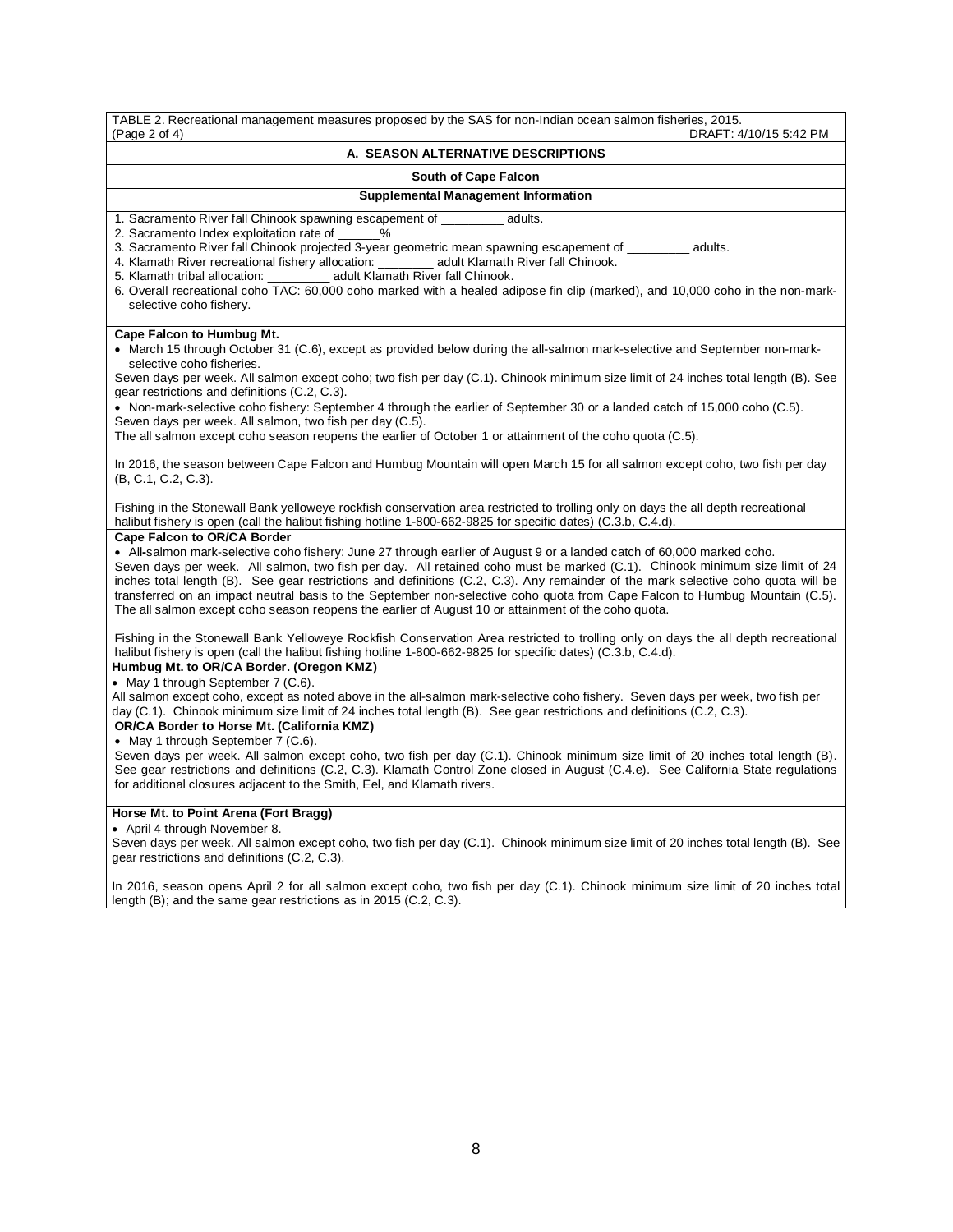TABLE 2. Recreational management measures proposed by the SAS for non-Indian ocean salmon fisheries, 2015. DRAFT: 4/10/15 5:42 PM

#### **A. SEASON ALTERNATIVE DESCRIPTIONS**

#### **South of Cape Falcon**

**Supplemental Management Information**

1. Sacramento River fall Chinook spawning escapement of adults.

2. Sacramento Index exploitation rate of \_\_\_\_\_\_%

3. Sacramento River fall Chinook projected 3-year geometric mean spawning escapement of \_\_\_\_\_\_\_\_ adults.<br>4. Klamath River recreational fishery allocation: \_\_\_\_\_\_\_\_\_ adult Klamath River fall Chinook.

4. Klamath River recreational fishery allocation: \_\_<br>5. Klamath tribal allocation: adult Klam

adult Klamath River fall Chinook.

6. Overall recreational coho TAC: 60,000 coho marked with a healed adipose fin clip (marked), and 10,000 coho in the non-markselective coho fishery.

#### **Cape Falcon to Humbug Mt.**

• March 15 through October 31 (C.6), except as provided below during the all-salmon mark-selective and September non-markselective coho fisheries.

Seven days per week. All salmon except coho; two fish per day (C.1). Chinook minimum size limit of 24 inches total length (B). See gear restrictions and definitions (C.2, C.3).

• Non-mark-selective coho fishery: September 4 through the earlier of September 30 or a landed catch of 15,000 coho (C.5). Seven days per week. All salmon, two fish per day (C.5).

The all salmon except coho season reopens the earlier of October 1 or attainment of the coho quota (C.5).

In 2016, the season between Cape Falcon and Humbug Mountain will open March 15 for all salmon except coho, two fish per day (B, C.1, C.2, C.3).

Fishing in the Stonewall Bank yelloweye rockfish conservation area restricted to trolling only on days the all depth recreational halibut fishery is open (call the halibut fishing hotline 1-800-662-9825 for specific dates) (C.3.b, C.4.d).

#### **Cape Falcon to OR/CA Border**

• All**-**salmon mark-selective coho fishery: June 27 through earlier of August 9 or a landed catch of 60,000 marked coho. Seven days per week. All salmon, two fish per day. All retained coho must be marked (C.1). Chinook minimum size limit of 24 inches total length (B). See gear restrictions and definitions (C.2, C.3). Any remainder of the mark selective coho quota will be transferred on an impact neutral basis to the September non-selective coho quota from Cape Falcon to Humbug Mountain (C.5). The all salmon except coho season reopens the earlier of August 10 or attainment of the coho quota.

Fishing in the Stonewall Bank Yelloweye Rockfish Conservation Area restricted to trolling only on days the all depth recreational halibut fishery is open (call the halibut fishing hotline 1-800-662-9825 for specific dates) (C.3.b, C.4.d).

# **Humbug Mt. to OR/CA Border. (Oregon KMZ)**

• May 1 through September 7 (C.6).

All salmon except coho, except as noted above in the all-salmon mark-selective coho fishery. Seven days per week, two fish per day (C.1). Chinook minimum size limit of 24 inches total length (B). See gear restrictions and definitions (C.2, C.3).

#### **OR/CA Border to Horse Mt. (California KMZ)**

• May 1 through September 7 (C.6).

Seven days per week. All salmon except coho, two fish per day (C.1). Chinook minimum size limit of 20 inches total length (B). See gear restrictions and definitions (C.2, C.3). Klamath Control Zone closed in August (C.4.e). See California State regulations for additional closures adjacent to the Smith, Eel, and Klamath rivers.

#### **Horse Mt. to Point Arena (Fort Bragg)**

• April 4 through November 8.

Seven days per week. All salmon except coho, two fish per day (C.1). Chinook minimum size limit of 20 inches total length (B). See gear restrictions and definitions (C.2, C.3).

In 2016, season opens April 2 for all salmon except coho, two fish per day (C.1). Chinook minimum size limit of 20 inches total length (B); and the same gear restrictions as in 2015 (C.2, C.3).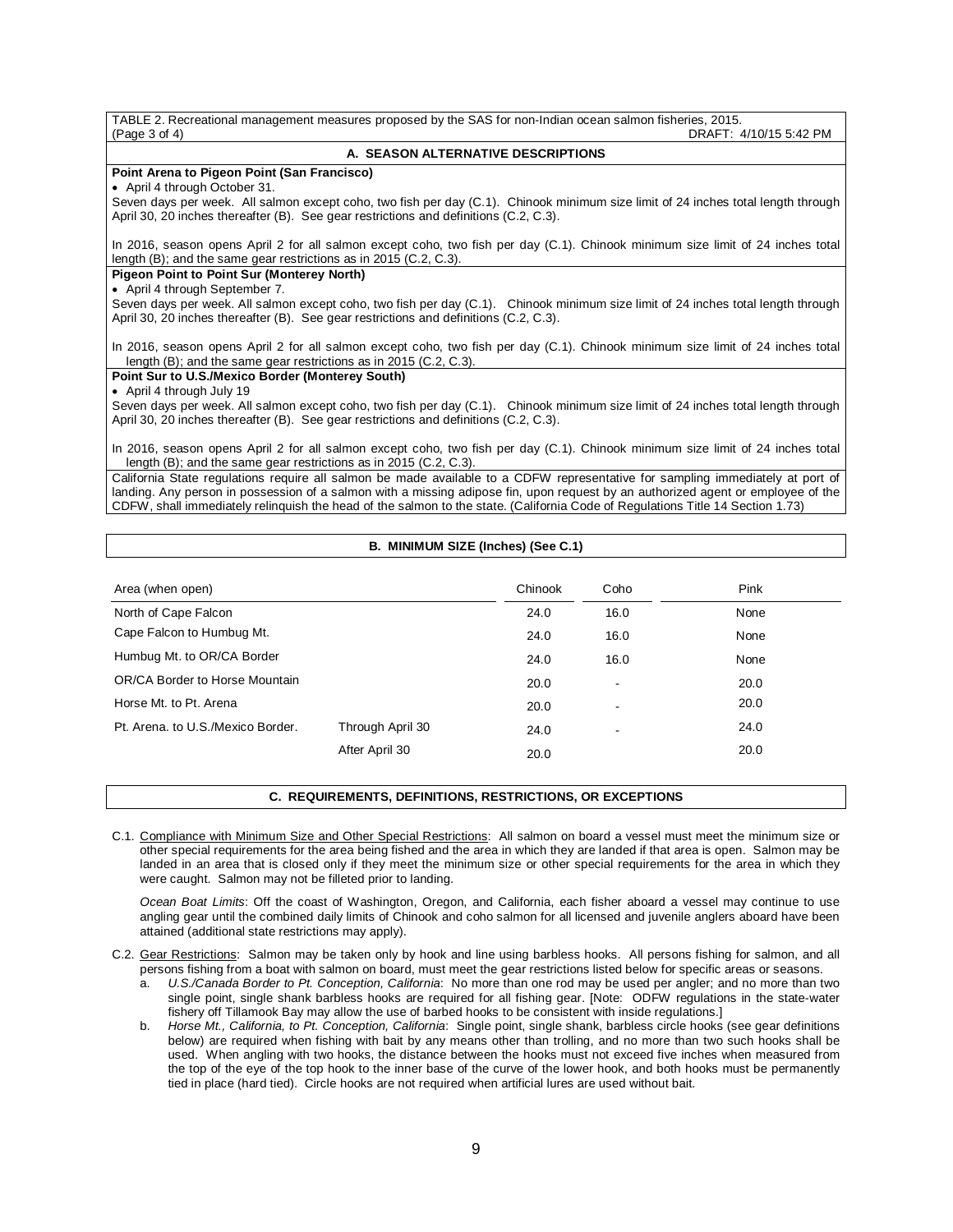| A. SEASON ALTERNATIVE DESCRIPTIONS<br>Seven days per week. All salmon except coho, two fish per day (C.1). Chinook minimum size limit of 24 inches total length through<br>In 2016, season opens April 2 for all salmon except coho, two fish per day (C.1). Chinook minimum size limit of 24 inches total<br>Seven days per week. All salmon except coho, two fish per day (C.1). Chinook minimum size limit of 24 inches total length through<br>April 30, 20 inches thereafter (B). See gear restrictions and definitions (C.2, C.3).<br>In 2016, season opens April 2 for all salmon except coho, two fish per day (C.1). Chinook minimum size limit of 24 inches total<br>length (B); and the same gear restrictions as in 2015 (C.2, C.3).<br>Seven days per week. All salmon except coho, two fish per day (C.1). Chinook minimum size limit of 24 inches total length through<br>In 2016, season opens April 2 for all salmon except coho, two fish per day (C.1). Chinook minimum size limit of 24 inches total<br>length (B); and the same gear restrictions as in 2015 (C.2, C.3). | TABLE 2. Recreational management measures proposed by the SAS for non-Indian ocean salmon fisheries, 2015.<br>DRAFT: 4/10/15 5:42 PM<br>(Page 3 of 4)                                                                                                                                                                                                                                                |
|-----------------------------------------------------------------------------------------------------------------------------------------------------------------------------------------------------------------------------------------------------------------------------------------------------------------------------------------------------------------------------------------------------------------------------------------------------------------------------------------------------------------------------------------------------------------------------------------------------------------------------------------------------------------------------------------------------------------------------------------------------------------------------------------------------------------------------------------------------------------------------------------------------------------------------------------------------------------------------------------------------------------------------------------------------------------------------------------------|------------------------------------------------------------------------------------------------------------------------------------------------------------------------------------------------------------------------------------------------------------------------------------------------------------------------------------------------------------------------------------------------------|
|                                                                                                                                                                                                                                                                                                                                                                                                                                                                                                                                                                                                                                                                                                                                                                                                                                                                                                                                                                                                                                                                                               |                                                                                                                                                                                                                                                                                                                                                                                                      |
|                                                                                                                                                                                                                                                                                                                                                                                                                                                                                                                                                                                                                                                                                                                                                                                                                                                                                                                                                                                                                                                                                               | Point Arena to Pigeon Point (San Francisco)                                                                                                                                                                                                                                                                                                                                                          |
|                                                                                                                                                                                                                                                                                                                                                                                                                                                                                                                                                                                                                                                                                                                                                                                                                                                                                                                                                                                                                                                                                               | • April 4 through October 31.                                                                                                                                                                                                                                                                                                                                                                        |
|                                                                                                                                                                                                                                                                                                                                                                                                                                                                                                                                                                                                                                                                                                                                                                                                                                                                                                                                                                                                                                                                                               | April 30, 20 inches thereafter (B). See gear restrictions and definitions (C.2, C.3).                                                                                                                                                                                                                                                                                                                |
|                                                                                                                                                                                                                                                                                                                                                                                                                                                                                                                                                                                                                                                                                                                                                                                                                                                                                                                                                                                                                                                                                               | length $(B)$ ; and the same gear restrictions as in 2015 $(C.2, C.3)$ .                                                                                                                                                                                                                                                                                                                              |
|                                                                                                                                                                                                                                                                                                                                                                                                                                                                                                                                                                                                                                                                                                                                                                                                                                                                                                                                                                                                                                                                                               | <b>Pigeon Point to Point Sur (Monterey North)</b>                                                                                                                                                                                                                                                                                                                                                    |
|                                                                                                                                                                                                                                                                                                                                                                                                                                                                                                                                                                                                                                                                                                                                                                                                                                                                                                                                                                                                                                                                                               | • April 4 through September 7.                                                                                                                                                                                                                                                                                                                                                                       |
|                                                                                                                                                                                                                                                                                                                                                                                                                                                                                                                                                                                                                                                                                                                                                                                                                                                                                                                                                                                                                                                                                               |                                                                                                                                                                                                                                                                                                                                                                                                      |
|                                                                                                                                                                                                                                                                                                                                                                                                                                                                                                                                                                                                                                                                                                                                                                                                                                                                                                                                                                                                                                                                                               |                                                                                                                                                                                                                                                                                                                                                                                                      |
|                                                                                                                                                                                                                                                                                                                                                                                                                                                                                                                                                                                                                                                                                                                                                                                                                                                                                                                                                                                                                                                                                               |                                                                                                                                                                                                                                                                                                                                                                                                      |
|                                                                                                                                                                                                                                                                                                                                                                                                                                                                                                                                                                                                                                                                                                                                                                                                                                                                                                                                                                                                                                                                                               | Point Sur to U.S./Mexico Border (Monterey South)                                                                                                                                                                                                                                                                                                                                                     |
|                                                                                                                                                                                                                                                                                                                                                                                                                                                                                                                                                                                                                                                                                                                                                                                                                                                                                                                                                                                                                                                                                               | • April 4 through July 19                                                                                                                                                                                                                                                                                                                                                                            |
|                                                                                                                                                                                                                                                                                                                                                                                                                                                                                                                                                                                                                                                                                                                                                                                                                                                                                                                                                                                                                                                                                               | April 30, 20 inches thereafter (B). See gear restrictions and definitions (C.2, C.3).                                                                                                                                                                                                                                                                                                                |
|                                                                                                                                                                                                                                                                                                                                                                                                                                                                                                                                                                                                                                                                                                                                                                                                                                                                                                                                                                                                                                                                                               |                                                                                                                                                                                                                                                                                                                                                                                                      |
|                                                                                                                                                                                                                                                                                                                                                                                                                                                                                                                                                                                                                                                                                                                                                                                                                                                                                                                                                                                                                                                                                               | California State regulations require all salmon be made available to a CDFW representative for sampling immediately at port of<br>landing. Any person in possession of a salmon with a missing adipose fin, upon request by an authorized agent or employee of the<br>CDFW, shall immediately relinguish the head of the salmon to the state. (California Code of Regulations Title 14 Section 1.73) |

# **B. MINIMUM SIZE (Inches) (See C.1)**

| Area (when open)                  |                  | Chinook | Coho                     | Pink |
|-----------------------------------|------------------|---------|--------------------------|------|
| North of Cape Falcon              |                  | 24.0    | 16.0                     | None |
| Cape Falcon to Humbug Mt.         |                  | 24.0    | 16.0                     | None |
| Humbug Mt. to OR/CA Border        |                  | 24.0    | 16.0                     | None |
| OR/CA Border to Horse Mountain    |                  | 20.0    | $\overline{\phantom{a}}$ | 20.0 |
| Horse Mt. to Pt. Arena            |                  | 20.0    | $\overline{\phantom{a}}$ | 20.0 |
| Pt. Arena, to U.S./Mexico Border. | Through April 30 | 24.0    | ۰                        | 24.0 |
|                                   | After April 30   | 20.0    |                          | 20.0 |

## **C. REQUIREMENTS, DEFINITIONS, RESTRICTIONS, OR EXCEPTIONS**

C.1. Compliance with Minimum Size and Other Special Restrictions: All salmon on board a vessel must meet the minimum size or other special requirements for the area being fished and the area in which they are landed if that area is open. Salmon may be landed in an area that is closed only if they meet the minimum size or other special requirements for the area in which they were caught. Salmon may not be filleted prior to landing.

*Ocean Boat Limits*: Off the coast of Washington, Oregon, and California, each fisher aboard a vessel may continue to use angling gear until the combined daily limits of Chinook and coho salmon for all licensed and juvenile anglers aboard have been attained (additional state restrictions may apply).

- C.2. Gear Restrictions: Salmon may be taken only by hook and line using barbless hooks. All persons fishing for salmon, and all persons fishing from a boat with salmon on board, must meet the gear restrictions listed below for specific areas or seasons.
	- a. *U.S./Canada Border to Pt. Conception, California*: No more than one rod may be used per angler; and no more than two single point, single shank barbless hooks are required for all fishing gear. [Note: ODFW regulations in the state-water fishery off Tillamook Bay may allow the use of barbed hooks to be consistent with inside regulations.]
	- b. *Horse Mt., California, to Pt. Conception, California*: Single point, single shank, barbless circle hooks (see gear definitions below) are required when fishing with bait by any means other than trolling, and no more than two such hooks shall be used. When angling with two hooks, the distance between the hooks must not exceed five inches when measured from the top of the eye of the top hook to the inner base of the curve of the lower hook, and both hooks must be permanently tied in place (hard tied). Circle hooks are not required when artificial lures are used without bait.